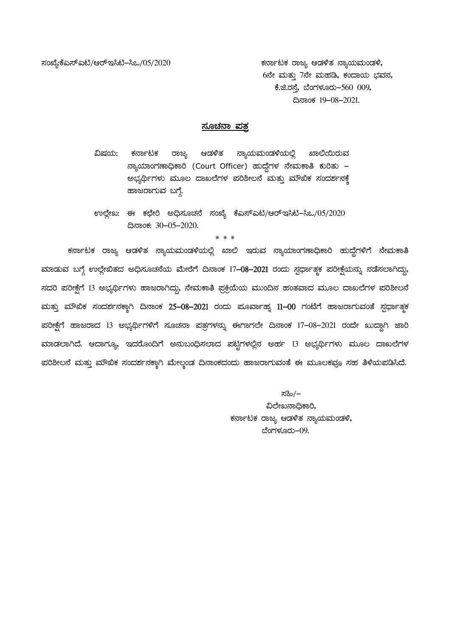¸ÀASÉå:PÉJ¸ïJn/DgïE¹n-¹M/05/2020 PÀ£ÁðlPÀ gÁdå DqÀ½vÀ £ÁåAiÀĪÀÄAqÀ½, 6ನೇ ಮತ್ತು 7ನೇ ಮಹಡಿ, ಕಂದಾಯ ಭವನ, ಕೆ.ಜಿ.ರಸೆ, ಬೆಂಗಳೂರು–560 009, ¢£ÁAPÀ 19-08-2021.

## <u>ಸೂಚನಾ ಪತ</u>್ರ

ವಿಷಯ: ಕರ್ನಾಟಕ ರಾಜ್ಯ ಆಡಳಿತ ನ್ಯಾಯಮಂಡಳಿಯಲ್ಲಿ ಖಾಲಿಯಿರುವ ನ್ಯಾಯಾಂಗಣಾಧಿಕಾರಿ (Court Officer) ಹುದ್ದೆಗಳ ನೇಮಕಾತಿ ಕುರಿತು – ಅಭ್ಯರ್ಥಿಗಳು ಮೂಲ ದಾಖಲೆಗಳ ಪರಿಶೀಲನೆ ಮತ್ತು ಮೌಖಿಕ ಸಂದರ್ಶನಕ್ಕೆ ಹಾಜರಾಗುವ ಬಗ್ಗೆ.

 $O$ ಲ್ಲೇಖ: ಈ ಕಛೇರಿ ಅಧಿಸೂಚನೆ ಸಂಖ್ಯೆ ಕೆಎಸ್ಎಟಿ/ಆರ್ಇಸಿಟಿ–ಸಿಒ $O(15/2020)$ ¢£ÁAPÀ: 30-05-2020.

\* \* \*

ಕರ್ನಾಟಕ ರಾಜ್ಯ ಆಡಳಿತ ನ್ಯಾಯಮಂಡಳಿಯಲ್ಲಿ ಖಾಲಿ ಇರುವ ನ್ಯಾಯಾಂಗಣಾಧಿಕಾರಿ ಹುದ್ದೆಗಳಿಗೆ ನೇಮಕಾತಿ ಮಾಡುವ ಬಗ್ಗೆ ಉಲ್ಲೇಖಿತದ ಅಧಿಸೂಚನೆಯ ಮೇರೆಗೆ ದಿನಾಂಕ 17-08-2021 ರಂದು ಸ್ಪರ್ಧಾತ್ರಕ ಪರೀಕ್ಷೆಯನ್ನು ನಡೆಸಲಾಗಿದ್ದು, ಸದರಿ ಪರೀಕ್ಷೆಗೆ 13 ಅಭ್ಯರ್ಥಿಗಳು ಹಾಜರಾಗಿದ್ದು, ನೇಮಕಾತಿ ಪ್ರಕ್ರಿಯೆಯ ಮುಂದಿನ ಹಂತವಾದ ಮೂಲ ದಾಖಲೆಗಳ ಪರಿಶೀಲನೆ ಮತ್ತು ಮೌಖಿಕ ಸಂದರ್ಶನಕ್ತಾಗಿ ದಿನಾಂಕ 25-08-2021 ರಂದು ಮೂರ್ವಾಹ್ನ 11-00 ಗಂಟೆಗೆ ಹಾಜರಾಗುವಂತೆ ಸ್ಪರ್ಧಾತ್ರಕ ಹರೀಕ್ಷೆಗೆ ಹಾಜರಾದ 13 ಅಭ್ಯರ್ಥಿಗಳಿಗೆ ಸೂಚನಾ ಪತ್ರಗಳನ್ನು ಈಗಾಗಲೇ ದಿನಾಂಕ 17-08-2021 ರಂದೇ ಖುದ್ದಾಗಿ ಜಾರಿ ಮಾಡಲಾಗಿದೆ. ಆದಾಗ್ಯೂ, ಇದರೊಂದಿಗೆ ಅನುಬಂಧಿಸಲಾದ ಪಟ್ಟಿಗಳಲ್ಲಿನ ಅರ್ಹ 13 ಅಭ್ಯರ್ಥಿಗಳು ಮೂಲ ದಾಖಲೆಗಳ ಪರಿಶೀಲನೆ ಮತ್ತು ಮೌಖಿಕ ಸಂದರ್ಶನಕ್ಕಾಗಿ ಮೇಲ್ತಂಡ ದಿನಾಂಕದಂದು ಹಾಜರಾಗುವಂತೆ ಈ ಮೂಲಕವೂ ಸಹ ತಿಳಿಯಪಡಿಸಿದೆ.

> ಸಹಿ/– ವಿಲೇಖನಾಧಿಕಾರಿ, ಕರ್ನಾಟಕ ರಾಜ್ಯ ಆಡಳಿತ ನ್ಯಾಯಮಂಡಳಿ, ಬೆಂಗಳೂರು $-09$ .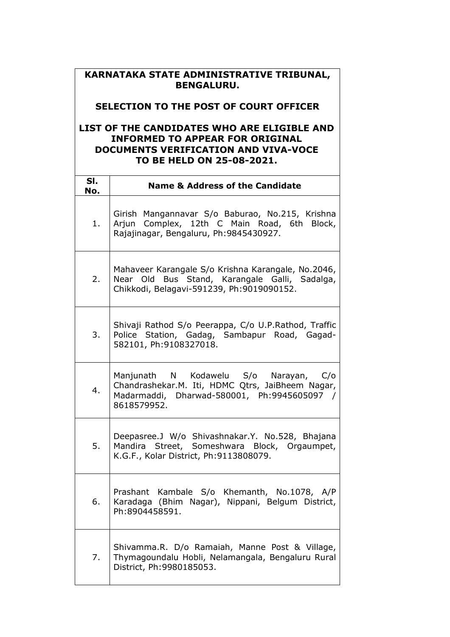## **KARNATAKA STATE ADMINISTRATIVE TRIBUNAL, BENGALURU.**

## **SELECTION TO THE POST OF COURT OFFICER**

## **LIST OF THE CANDIDATES WHO ARE ELIGIBLE AND INFORMED TO APPEAR FOR ORIGINAL DOCUMENTS VERIFICATION AND VIVA-VOCE TO BE HELD ON 25-08-2021.**

| SI.<br>No. | <b>Name &amp; Address of the Candidate</b>                                                                                                              |
|------------|---------------------------------------------------------------------------------------------------------------------------------------------------------|
| 1.         | Girish Mangannavar S/o Baburao, No.215, Krishna<br>Arjun Complex, 12th C Main Road, 6th Block,<br>Rajajinagar, Bengaluru, Ph: 9845430927.               |
| 2.         | Mahaveer Karangale S/o Krishna Karangale, No.2046,<br>Near Old Bus Stand, Karangale Galli, Sadalga,<br>Chikkodi, Belagavi-591239, Ph:9019090152.        |
| 3.         | Shivaji Rathod S/o Peerappa, C/o U.P.Rathod, Traffic<br>Police Station, Gadag, Sambapur Road, Gagad-<br>582101, Ph:9108327018.                          |
| 4.         | Manjunath N Kodawelu S/o Narayan, C/o<br>Chandrashekar.M. Iti, HDMC Qtrs, JaiBheem Nagar,<br>Madarmaddi, Dharwad-580001, Ph:9945605097 /<br>8618579952. |
| 5.         | Deepasree.J W/o Shivashnakar.Y. No.528, Bhajana<br>Mandira Street, Someshwara Block, Orgaumpet,<br>K.G.F., Kolar District, Ph:9113808079.               |
| 6.         | Prashant Kambale S/o Khemanth, No.1078, A/P<br>Karadaga (Bhim Nagar), Nippani, Belgum District,<br>Ph:8904458591.                                       |
| 7.         | Shivamma.R. D/o Ramaiah, Manne Post & Village,<br>Thymagoundalu Hobli, Nelamangala, Bengaluru Rural<br>District, Ph: 9980185053.                        |